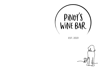

EST. 2021

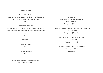### GRAZING BOARDS

SMALL GRAZING BOARD Cheddar, Brie, charcuterie meats, Chrissy's relishes, Ironpot bread, crudités, olives and other nibbles \$45

LARGE GRAZING BOARD Cheddar, Brie, Blue, Truffle Manchego, charcuterie meats, Chrissy's relishes, Ironpot bread, crudités, olives and other nibbles \$70

**DESSERTS** 

Lemon curd tart

\$12

Chocolate brownie

\$12

Dietary requirements can be catered for please let us know when ordering

## SPARKLING

2020 Good Day Sunshine Prosecco Murray Darling, NSW \$12 glass | \$55 bottle

2020 It's Not My Fault I Like Bubbles Sparkling Pinot Noir Adelaide Hills, SA \$14 glass | \$68 bottle

> 2021 Lansdowne "Super Plonk" Pet Nat Adelaide Hills, SA \$12 glass | \$58 bottle

NV Billecart-Salmon Nature Champagne Champagne, FRANCE \$160 bottle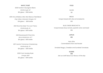## WHITE / ROSÉ

2020 Hunter's Sauvignon Blanc Marlborough, NZ \$12 glass | \$58 bottle

2019 Vino Athletico Alto! Alto! Bianco Field Blend King Valley & Macedon Ranges, VIC \$14 glass | \$68 bottle

> 2021 Shut the Gate "For Love" Fiano Wrattonbully, SA \$14 glass | \$65 bottle

> > 2021 Ravensworth Pinot Gris Murrumbateman, ACT \$14 glass | \$65 bottle

**BREAD** Ironpot bread with olive oil & balsamic \$10

BLUE CHEESE BRUSCHETTA Ironpot bread, blue, tomato, spanish onion and basil \$16

### JAFFLES

### \$15

Ham, Brie, Caramelised Onion and Rocket

Smoked Wagyu, Cheddar and Sundried Tomatoes

SLIDERS

\$18 Ask our staff about our flavour of the day

2017 Land of Tomorrow Chardonnay Wrattonbully, SA \$14 glass | \$55 bottle

> 2020 From Sunday Rosé Orange, NSW \$12 glass | \$55 bottle

#### FOOD

OLIVES \$8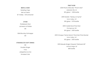## BEER & CIDER

Rotating Taps Ask our team \$7 middy | \$9 schooner

# OTHER

Pickleback Shot Jameson & Pickles \$9

Wild Brumby Schnapps \$9

### STRANGELOVE SOFT DRINKS

\$6

Double Ginger

Yuzu Jalapeños & Lime

Smoked Cola

## PINOT NOIR

2019 Pinot's Wine Bar "Pinot's Noir" Adelaide Hills, SA \$12 glass | \$58 bottle

2019 Heretic "Heresy on Syme" Yarra Valley, VIC \$16 glass | \$78 bottle

2019 Castle Rock Pinot Noir Porongurup, WA \$14 glass | \$65 bottle

2019 Vinoque "Same Same" Pinot Noir Pinot Munier Yarra Valley, VIC \$12 glass | \$50 bottle

2019 Maude Single Vineyard "Mohawk Hill" Central Otago, NZ \$85 bottle